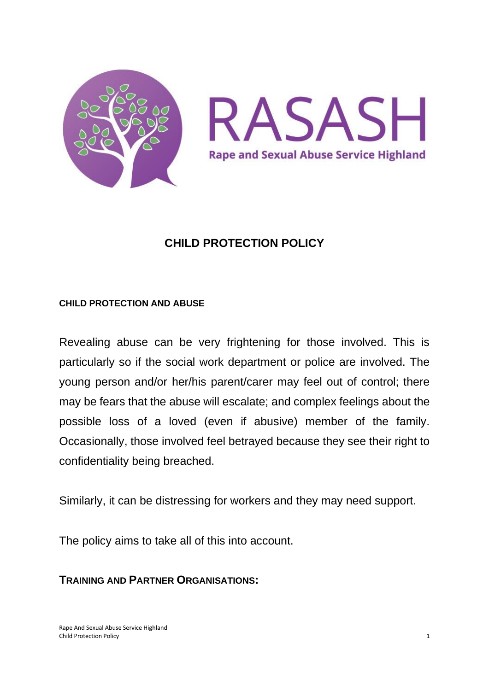



#### **CHILD PROTECTION POLICY**

#### **CHILD PROTECTION AND ABUSE**

Revealing abuse can be very frightening for those involved. This is particularly so if the social work department or police are involved. The young person and/or her/his parent/carer may feel out of control; there may be fears that the abuse will escalate; and complex feelings about the possible loss of a loved (even if abusive) member of the family. Occasionally, those involved feel betrayed because they see their right to confidentiality being breached.

Similarly, it can be distressing for workers and they may need support.

The policy aims to take all of this into account.

**TRAINING AND PARTNER ORGANISATIONS:**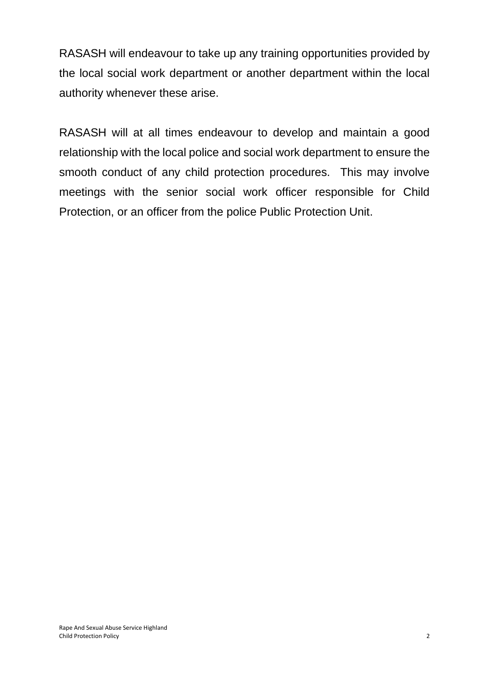RASASH will endeavour to take up any training opportunities provided by the local social work department or another department within the local authority whenever these arise.

RASASH will at all times endeavour to develop and maintain a good relationship with the local police and social work department to ensure the smooth conduct of any child protection procedures. This may involve meetings with the senior social work officer responsible for Child Protection, or an officer from the police Public Protection Unit.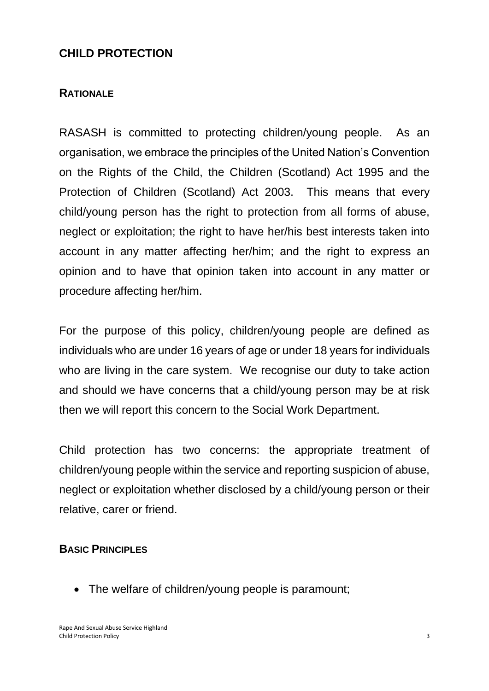#### **CHILD PROTECTION**

#### **RATIONALE**

RASASH is committed to protecting children/young people. As an organisation, we embrace the principles of the United Nation's Convention on the Rights of the Child, the Children (Scotland) Act 1995 and the Protection of Children (Scotland) Act 2003. This means that every child/young person has the right to protection from all forms of abuse, neglect or exploitation; the right to have her/his best interests taken into account in any matter affecting her/him; and the right to express an opinion and to have that opinion taken into account in any matter or procedure affecting her/him.

For the purpose of this policy, children/young people are defined as individuals who are under 16 years of age or under 18 years for individuals who are living in the care system. We recognise our duty to take action and should we have concerns that a child/young person may be at risk then we will report this concern to the Social Work Department.

Child protection has two concerns: the appropriate treatment of children/young people within the service and reporting suspicion of abuse, neglect or exploitation whether disclosed by a child/young person or their relative, carer or friend.

#### **BASIC PRINCIPLES**

• The welfare of children/young people is paramount;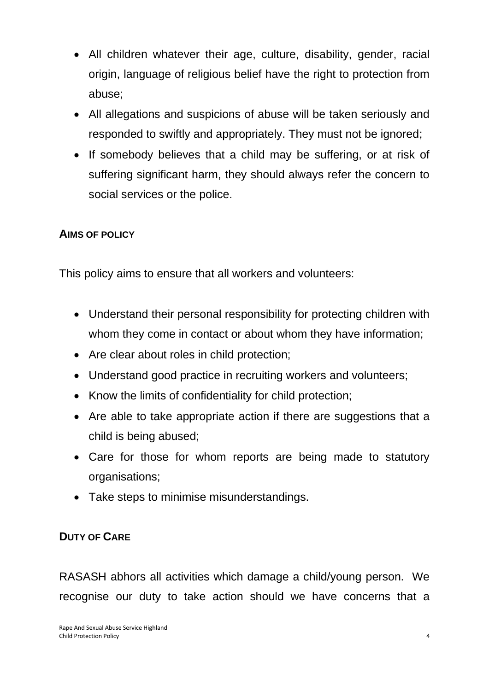- All children whatever their age, culture, disability, gender, racial origin, language of religious belief have the right to protection from abuse;
- All allegations and suspicions of abuse will be taken seriously and responded to swiftly and appropriately. They must not be ignored;
- If somebody believes that a child may be suffering, or at risk of suffering significant harm, they should always refer the concern to social services or the police.

#### **AIMS OF POLICY**

This policy aims to ensure that all workers and volunteers:

- Understand their personal responsibility for protecting children with whom they come in contact or about whom they have information;
- Are clear about roles in child protection;
- Understand good practice in recruiting workers and volunteers;
- Know the limits of confidentiality for child protection;
- Are able to take appropriate action if there are suggestions that a child is being abused;
- Care for those for whom reports are being made to statutory organisations;
- Take steps to minimise misunderstandings.

#### **DUTY OF CARE**

RASASH abhors all activities which damage a child/young person. We recognise our duty to take action should we have concerns that a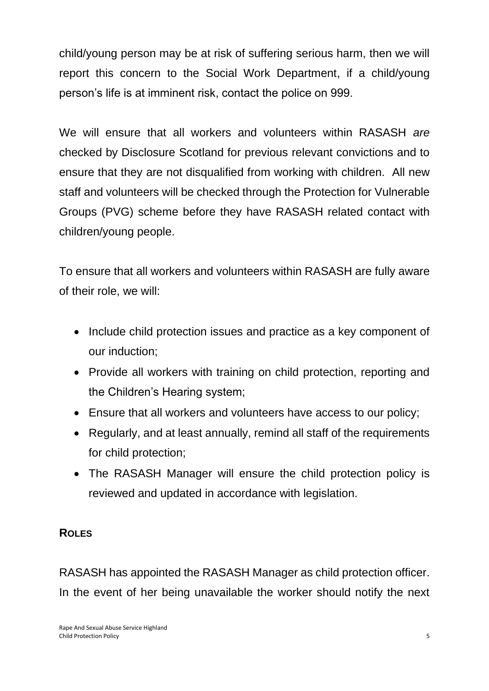child/young person may be at risk of suffering serious harm, then we will report this concern to the Social Work Department, if a child/young person's life is at imminent risk, contact the police on 999.

We will ensure that all workers and volunteers within RASASH *are* checked by Disclosure Scotland for previous relevant convictions and to ensure that they are not disqualified from working with children. All new staff and volunteers will be checked through the Protection for Vulnerable Groups (PVG) scheme before they have RASASH related contact with children/young people.

To ensure that all workers and volunteers within RASASH are fully aware of their role, we will:

- Include child protection issues and practice as a key component of our induction;
- Provide all workers with training on child protection, reporting and the Children's Hearing system;
- Ensure that all workers and volunteers have access to our policy;
- Regularly, and at least annually, remind all staff of the requirements for child protection;
- The RASASH Manager will ensure the child protection policy is reviewed and updated in accordance with legislation.

#### **ROLES**

RASASH has appointed the RASASH Manager as child protection officer. In the event of her being unavailable the worker should notify the next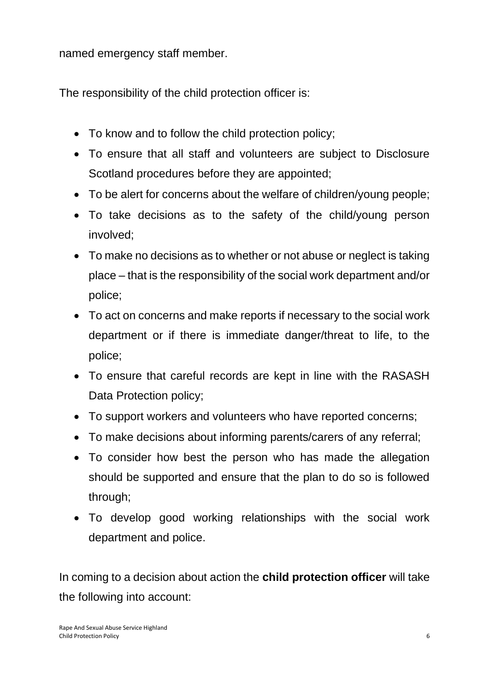named emergency staff member.

The responsibility of the child protection officer is:

- To know and to follow the child protection policy;
- To ensure that all staff and volunteers are subject to Disclosure Scotland procedures before they are appointed;
- To be alert for concerns about the welfare of children/young people;
- To take decisions as to the safety of the child/young person involved;
- To make no decisions as to whether or not abuse or neglect is taking place – that is the responsibility of the social work department and/or police;
- To act on concerns and make reports if necessary to the social work department or if there is immediate danger/threat to life, to the police;
- To ensure that careful records are kept in line with the RASASH Data Protection policy;
- To support workers and volunteers who have reported concerns;
- To make decisions about informing parents/carers of any referral;
- To consider how best the person who has made the allegation should be supported and ensure that the plan to do so is followed through;
- To develop good working relationships with the social work department and police.

In coming to a decision about action the **child protection officer** will take the following into account: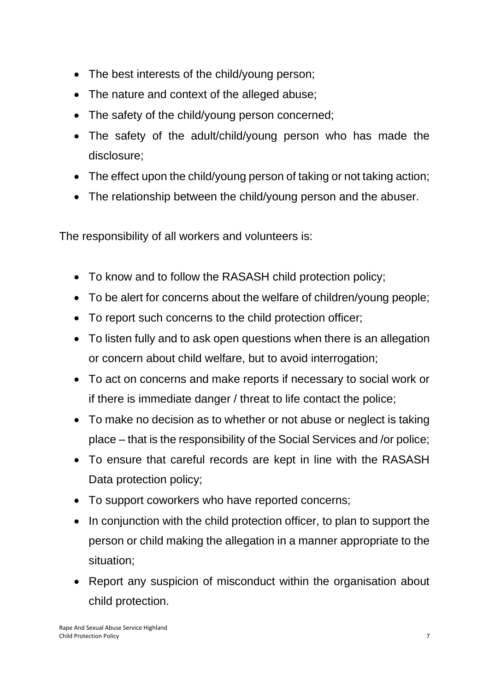- The best interests of the child/young person;
- The nature and context of the alleged abuse;
- The safety of the child/young person concerned;
- The safety of the adult/child/young person who has made the disclosure;
- The effect upon the child/young person of taking or not taking action;
- The relationship between the child/young person and the abuser.

The responsibility of all workers and volunteers is:

- To know and to follow the RASASH child protection policy;
- To be alert for concerns about the welfare of children/young people;
- To report such concerns to the child protection officer;
- To listen fully and to ask open questions when there is an allegation or concern about child welfare, but to avoid interrogation;
- To act on concerns and make reports if necessary to social work or if there is immediate danger / threat to life contact the police;
- To make no decision as to whether or not abuse or neglect is taking place – that is the responsibility of the Social Services and /or police;
- To ensure that careful records are kept in line with the RASASH Data protection policy;
- To support coworkers who have reported concerns;
- In conjunction with the child protection officer, to plan to support the person or child making the allegation in a manner appropriate to the situation;
- Report any suspicion of misconduct within the organisation about child protection.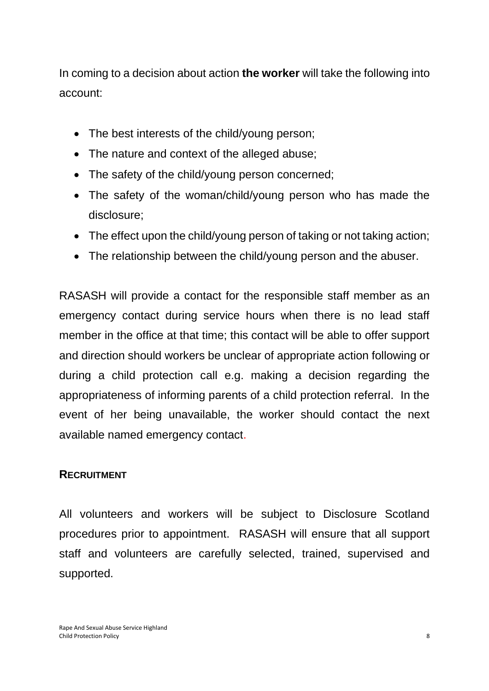In coming to a decision about action **the worker** will take the following into account:

- The best interests of the child/young person;
- The nature and context of the alleged abuse;
- The safety of the child/young person concerned;
- The safety of the woman/child/young person who has made the disclosure;
- The effect upon the child/young person of taking or not taking action;
- The relationship between the child/young person and the abuser.

RASASH will provide a contact for the responsible staff member as an emergency contact during service hours when there is no lead staff member in the office at that time; this contact will be able to offer support and direction should workers be unclear of appropriate action following or during a child protection call e.g. making a decision regarding the appropriateness of informing parents of a child protection referral. In the event of her being unavailable, the worker should contact the next available named emergency contact.

#### **RECRUITMENT**

All volunteers and workers will be subject to Disclosure Scotland procedures prior to appointment. RASASH will ensure that all support staff and volunteers are carefully selected, trained, supervised and supported.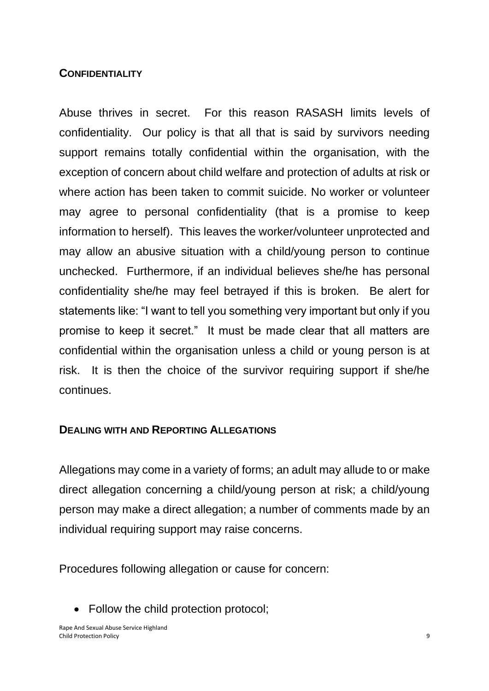#### **CONFIDENTIALITY**

Abuse thrives in secret. For this reason RASASH limits levels of confidentiality. Our policy is that all that is said by survivors needing support remains totally confidential within the organisation, with the exception of concern about child welfare and protection of adults at risk or where action has been taken to commit suicide. No worker or volunteer may agree to personal confidentiality (that is a promise to keep information to herself). This leaves the worker/volunteer unprotected and may allow an abusive situation with a child/young person to continue unchecked. Furthermore, if an individual believes she/he has personal confidentiality she/he may feel betrayed if this is broken. Be alert for statements like: "I want to tell you something very important but only if you promise to keep it secret." It must be made clear that all matters are confidential within the organisation unless a child or young person is at risk. It is then the choice of the survivor requiring support if she/he continues.

#### **DEALING WITH AND REPORTING ALLEGATIONS**

Allegations may come in a variety of forms; an adult may allude to or make direct allegation concerning a child/young person at risk; a child/young person may make a direct allegation; a number of comments made by an individual requiring support may raise concerns.

Procedures following allegation or cause for concern:

• Follow the child protection protocol;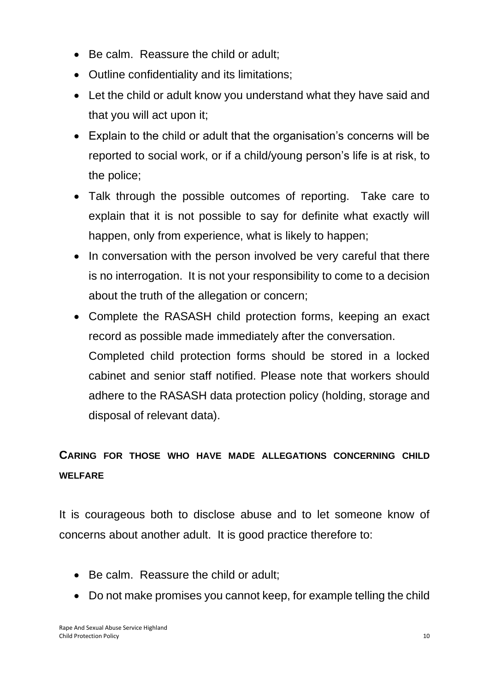- Be calm. Reassure the child or adult;
- Outline confidentiality and its limitations;
- Let the child or adult know you understand what they have said and that you will act upon it;
- Explain to the child or adult that the organisation's concerns will be reported to social work, or if a child/young person's life is at risk, to the police;
- Talk through the possible outcomes of reporting. Take care to explain that it is not possible to say for definite what exactly will happen, only from experience, what is likely to happen;
- In conversation with the person involved be very careful that there is no interrogation. It is not your responsibility to come to a decision about the truth of the allegation or concern;
- Complete the RASASH child protection forms, keeping an exact record as possible made immediately after the conversation. Completed child protection forms should be stored in a locked cabinet and senior staff notified. Please note that workers should adhere to the RASASH data protection policy (holding, storage and disposal of relevant data).

## **CARING FOR THOSE WHO HAVE MADE ALLEGATIONS CONCERNING CHILD WELFARE**

It is courageous both to disclose abuse and to let someone know of concerns about another adult. It is good practice therefore to:

- Be calm. Reassure the child or adult;
- Do not make promises you cannot keep, for example telling the child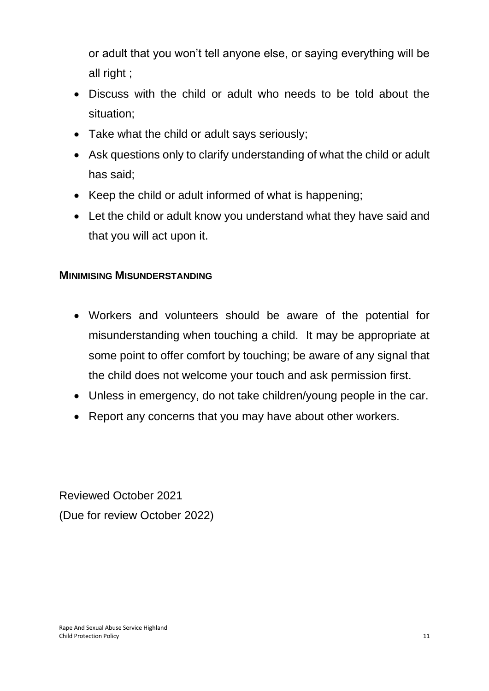or adult that you won't tell anyone else, or saying everything will be all right ;

- Discuss with the child or adult who needs to be told about the situation;
- Take what the child or adult says seriously;
- Ask questions only to clarify understanding of what the child or adult has said;
- Keep the child or adult informed of what is happening;
- Let the child or adult know you understand what they have said and that you will act upon it.

#### **MINIMISING MISUNDERSTANDING**

- Workers and volunteers should be aware of the potential for misunderstanding when touching a child. It may be appropriate at some point to offer comfort by touching; be aware of any signal that the child does not welcome your touch and ask permission first.
- Unless in emergency, do not take children/young people in the car.
- Report any concerns that you may have about other workers.

Reviewed October 2021 (Due for review October 2022)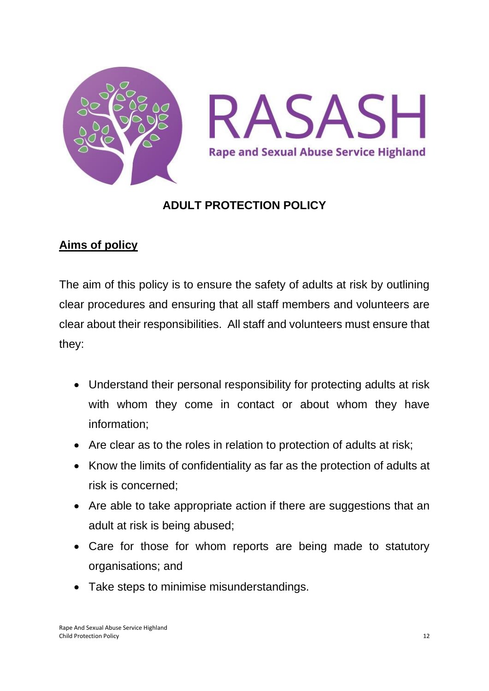

#### **ADULT PROTECTION POLICY**

## **Aims of policy**

The aim of this policy is to ensure the safety of adults at risk by outlining clear procedures and ensuring that all staff members and volunteers are clear about their responsibilities. All staff and volunteers must ensure that they:

- Understand their personal responsibility for protecting adults at risk with whom they come in contact or about whom they have information;
- Are clear as to the roles in relation to protection of adults at risk;
- Know the limits of confidentiality as far as the protection of adults at risk is concerned;
- Are able to take appropriate action if there are suggestions that an adult at risk is being abused;
- Care for those for whom reports are being made to statutory organisations; and
- Take steps to minimise misunderstandings.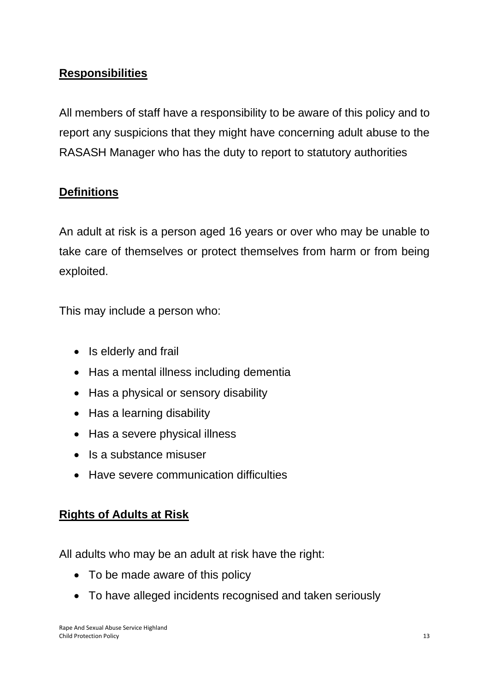## **Responsibilities**

All members of staff have a responsibility to be aware of this policy and to report any suspicions that they might have concerning adult abuse to the RASASH Manager who has the duty to report to statutory authorities

#### **Definitions**

An adult at risk is a person aged 16 years or over who may be unable to take care of themselves or protect themselves from harm or from being exploited.

This may include a person who:

- Is elderly and frail
- Has a mental illness including dementia
- Has a physical or sensory disability
- Has a learning disability
- Has a severe physical illness
- Is a substance misuser
- Have severe communication difficulties

#### **Rights of Adults at Risk**

All adults who may be an adult at risk have the right:

- To be made aware of this policy
- To have alleged incidents recognised and taken seriously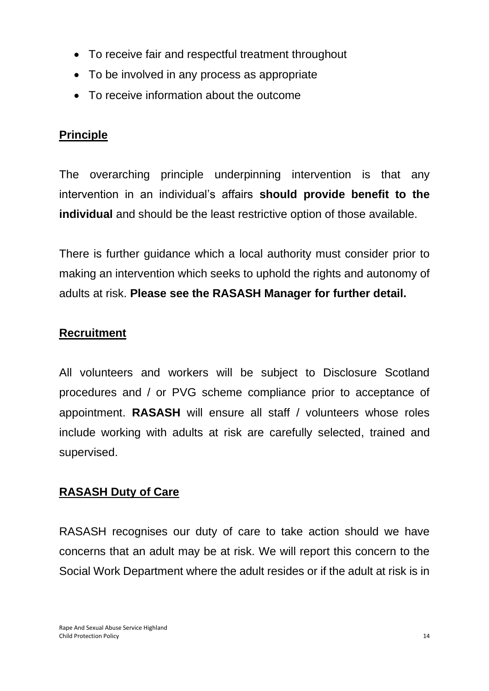- To receive fair and respectful treatment throughout
- To be involved in any process as appropriate
- To receive information about the outcome

### **Principle**

The overarching principle underpinning intervention is that any intervention in an individual's affairs **should provide benefit to the individual** and should be the least restrictive option of those available.

There is further guidance which a local authority must consider prior to making an intervention which seeks to uphold the rights and autonomy of adults at risk. **Please see the RASASH Manager for further detail.** 

## **Recruitment**

All volunteers and workers will be subject to Disclosure Scotland procedures and / or PVG scheme compliance prior to acceptance of appointment. **RASASH** will ensure all staff / volunteers whose roles include working with adults at risk are carefully selected, trained and supervised.

## **RASASH Duty of Care**

RASASH recognises our duty of care to take action should we have concerns that an adult may be at risk. We will report this concern to the Social Work Department where the adult resides or if the adult at risk is in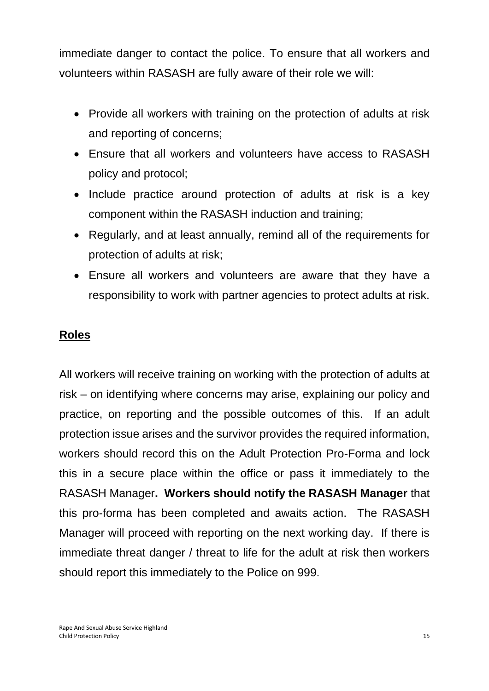immediate danger to contact the police. To ensure that all workers and volunteers within RASASH are fully aware of their role we will:

- Provide all workers with training on the protection of adults at risk and reporting of concerns;
- Ensure that all workers and volunteers have access to RASASH policy and protocol;
- Include practice around protection of adults at risk is a key component within the RASASH induction and training;
- Regularly, and at least annually, remind all of the requirements for protection of adults at risk;
- Ensure all workers and volunteers are aware that they have a responsibility to work with partner agencies to protect adults at risk.

#### **Roles**

All workers will receive training on working with the protection of adults at risk – on identifying where concerns may arise, explaining our policy and practice, on reporting and the possible outcomes of this. If an adult protection issue arises and the survivor provides the required information, workers should record this on the Adult Protection Pro-Forma and lock this in a secure place within the office or pass it immediately to the RASASH Manager**. Workers should notify the RASASH Manager** that this pro-forma has been completed and awaits action. The RASASH Manager will proceed with reporting on the next working day. If there is immediate threat danger / threat to life for the adult at risk then workers should report this immediately to the Police on 999.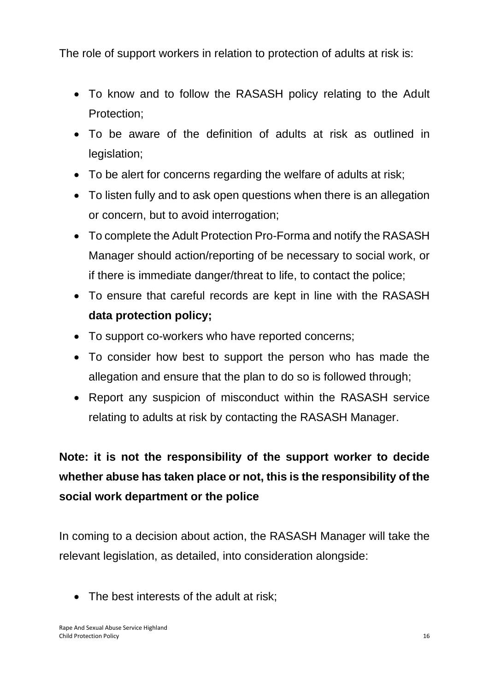The role of support workers in relation to protection of adults at risk is:

- To know and to follow the RASASH policy relating to the Adult Protection;
- To be aware of the definition of adults at risk as outlined in legislation;
- To be alert for concerns regarding the welfare of adults at risk;
- To listen fully and to ask open questions when there is an allegation or concern, but to avoid interrogation;
- To complete the Adult Protection Pro-Forma and notify the RASASH Manager should action/reporting of be necessary to social work, or if there is immediate danger/threat to life, to contact the police;
- To ensure that careful records are kept in line with the RASASH **data protection policy;**
- To support co-workers who have reported concerns;
- To consider how best to support the person who has made the allegation and ensure that the plan to do so is followed through;
- Report any suspicion of misconduct within the RASASH service relating to adults at risk by contacting the RASASH Manager.

# **Note: it is not the responsibility of the support worker to decide whether abuse has taken place or not, this is the responsibility of the social work department or the police**

In coming to a decision about action, the RASASH Manager will take the relevant legislation, as detailed, into consideration alongside:

• The best interests of the adult at risk;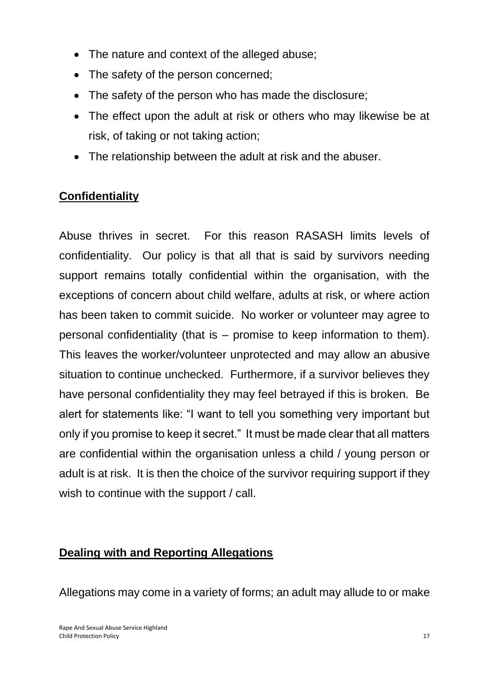- The nature and context of the alleged abuse;
- The safety of the person concerned;
- The safety of the person who has made the disclosure;
- The effect upon the adult at risk or others who may likewise be at risk, of taking or not taking action;
- The relationship between the adult at risk and the abuser.

## **Confidentiality**

Abuse thrives in secret. For this reason RASASH limits levels of confidentiality. Our policy is that all that is said by survivors needing support remains totally confidential within the organisation, with the exceptions of concern about child welfare, adults at risk, or where action has been taken to commit suicide. No worker or volunteer may agree to personal confidentiality (that is – promise to keep information to them). This leaves the worker/volunteer unprotected and may allow an abusive situation to continue unchecked. Furthermore, if a survivor believes they have personal confidentiality they may feel betrayed if this is broken. Be alert for statements like: "I want to tell you something very important but only if you promise to keep it secret." It must be made clear that all matters are confidential within the organisation unless a child / young person or adult is at risk. It is then the choice of the survivor requiring support if they wish to continue with the support / call.

#### **Dealing with and Reporting Allegations**

Allegations may come in a variety of forms; an adult may allude to or make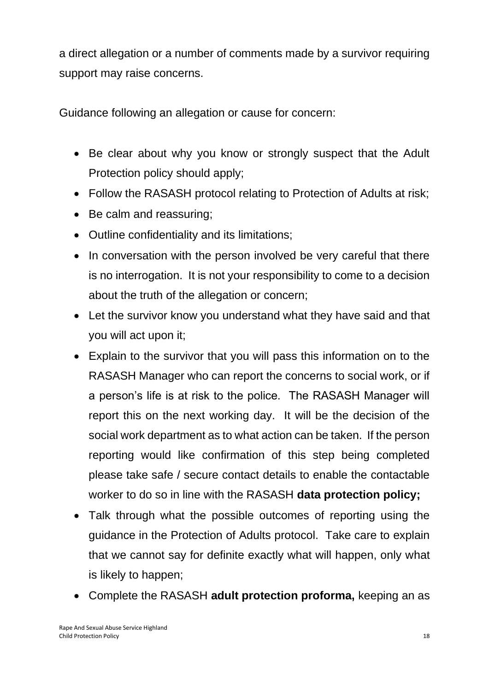a direct allegation or a number of comments made by a survivor requiring support may raise concerns.

Guidance following an allegation or cause for concern:

- Be clear about why you know or strongly suspect that the Adult Protection policy should apply;
- Follow the RASASH protocol relating to Protection of Adults at risk;
- Be calm and reassuring;
- Outline confidentiality and its limitations;
- In conversation with the person involved be very careful that there is no interrogation. It is not your responsibility to come to a decision about the truth of the allegation or concern;
- Let the survivor know you understand what they have said and that you will act upon it;
- Explain to the survivor that you will pass this information on to the RASASH Manager who can report the concerns to social work, or if a person's life is at risk to the police. The RASASH Manager will report this on the next working day. It will be the decision of the social work department as to what action can be taken. If the person reporting would like confirmation of this step being completed please take safe / secure contact details to enable the contactable worker to do so in line with the RASASH **data protection policy;**
- Talk through what the possible outcomes of reporting using the guidance in the Protection of Adults protocol. Take care to explain that we cannot say for definite exactly what will happen, only what is likely to happen;
- Complete the RASASH **adult protection proforma,** keeping an as